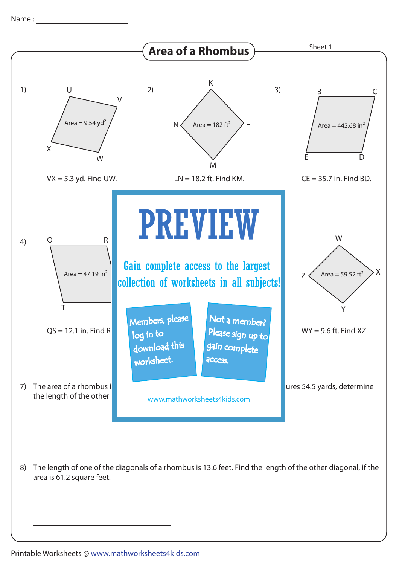